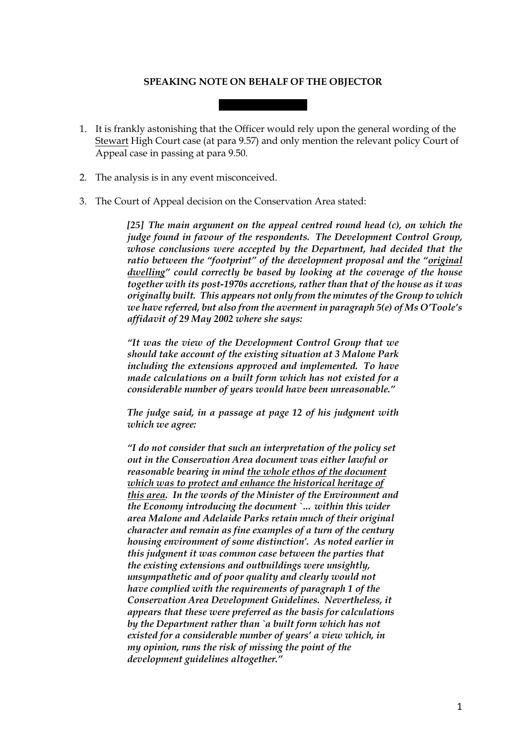## **SPEAKING NOTE ON BEHALF OF THE OBJECTOR**

- 1. It is frankly astonishing that the Officer would rely upon the general wording of the Stewart High Court case (at para 9.57) and only mention the relevant policy Court of Appeal case in passing at para 9.50.
- 2. The analysis is in any event misconceived.
- 3. The Court of Appeal decision on the Conservation Area stated:

*[25] The main argument on the appeal centred round head (c), on which the judge found in favour of the respondents. The Development Control Group, whose conclusions were accepted by the Department, had decided that the ratio between the "footprint" of the development proposal and the "original dwelling" could correctly be based by looking at the coverage of the house together with its post-1970s accretions, rather than that of the house as it was originally built. This appears not only from the minutes ofthe Group to which we have referred, but also from the averment in paragraph 5(e) of Ms O'Toole's affidavit of 29 May 2002 where she says:*

*"It was the view of the Development Control Group that we should take account of the existing situation at 3 Malone Park including the extensions approved and implemented. To have made calculations on a built form which has not existed for a considerable number of years would have been unreasonable."*

*The judge said, in a passage at page 12 of his judgment with which we agree:*

*"I do not consider that such an interpretation of the policy set out in the Conservation Area document was either lawful or reasonable bearing in mind the whole ethos of the document which was to protect and enhance the historical heritage of this area. In the words of the Minister of the Environment and the Economy introducing the document `… within this wider area Malone and Adelaide Parks retain much of their original character and remain as fine examples of a turn of the century housing environment of some distinction'. As noted earlier in this judgment it was common case between the parties that the existing extensions and outbuildings were unsightly, unsympathetic and of poor quality and clearly would not have complied with the requirements of paragraph 1 of the Conservation Area Development Guidelines. Nevertheless, it appears that these were preferred as the basis for calculations by the Department rather than `a built form which has not existed for a considerable number of years' a view which, in my opinion, runs the risk of missing the point of the development guidelines altogether."*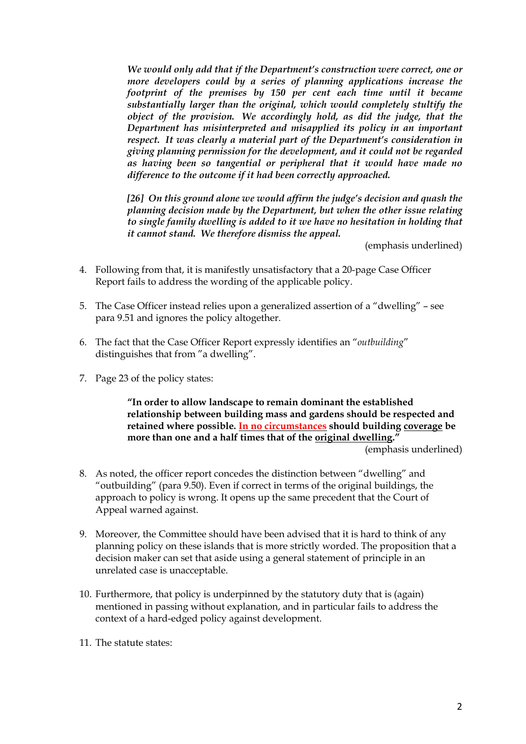*We would only add that if the Department's construction were correct, one or more developers could by a series of planning applications increase the footprint of the premises by 150 per cent each time until it became substantially larger than the original, which would completely stultify the object of the provision. We accordingly hold, as did the judge, that the Department has misinterpreted and misapplied its policy in an important respect. It was clearly a material part of the Department's consideration in giving planning permission for the development, and it could not be regarded as having been so tangential or peripheral that it would have made no difference to the outcome if it had been correctly approached.*

*[26] On this ground alone we would affirm the judge's decision and quash the planning decision made by the Department, but when the other issue relating to single family dwelling is added to it we have no hesitation in holding that it cannot stand. We therefore dismiss the appeal.*

(emphasis underlined)

- 4. Following from that, it is manifestly unsatisfactory that a 20-page Case Officer Report fails to address the wording of the applicable policy.
- 5. The Case Officer instead relies upon a generalized assertion of a "dwelling" see para 9.51 and ignores the policy altogether.
- 6. The fact that the Case Officer Report expressly identifies an "*outbuilding*" distinguishes that from "a dwelling".
- 7. Page 23 of the policy states:

**"In order to allow landscape to remain dominant the established relationship between building mass and gardens should be respected and retained where possible. In no circumstances should building coverage be more than one and a half times that of the original dwelling."**

(emphasis underlined)

- 8. As noted, the officer report concedes the distinction between "dwelling" and "outbuilding" (para 9.50). Even if correct in terms of the original buildings, the approach to policy is wrong. It opens up the same precedent that the Court of Appeal warned against.
- 9. Moreover, the Committee should have been advised that it is hard to think of any planning policy on these islands that is more strictly worded. The proposition that a decision maker can set that aside using a general statement of principle in an unrelated case is unacceptable.
- 10. Furthermore, that policy is underpinned by the statutory duty that is (again) mentioned in passing without explanation, and in particular fails to address the context of a hard-edged policy against development.
- 11. The statute states: